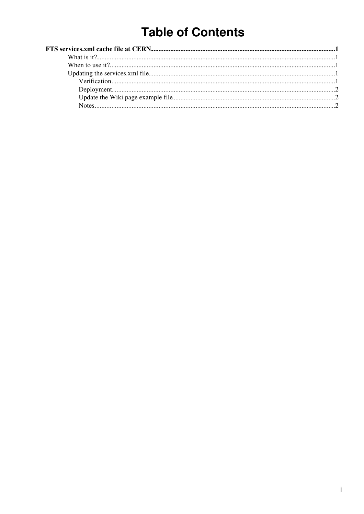# **Table of Contents**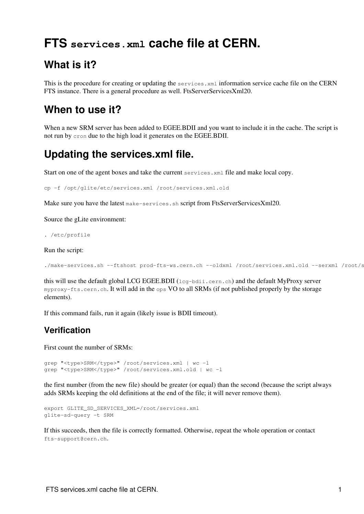## <span id="page-1-0"></span>**FTS services.xml cache file at CERN.**

## <span id="page-1-1"></span>**What is it?**

This is the procedure for creating or updating the services.xml information service cache file on the CERN FTS instance. There is a general procedure as well. [FtsServerServicesXml20.](https://twiki.cern.ch/twiki/bin/view/LCG/FtsServerServicesXml20)

### <span id="page-1-2"></span>**When to use it?**

When a new SRM server has been added to EGEE.BDII and you want to include it in the cache. The script is not run by cron due to the high load it generates on the EGEE.BDII.

## <span id="page-1-3"></span>**Updating the services.xml file.**

Start on one of the agent boxes and take the current services.xml file and make local copy.

cp -f /opt/glite/etc/services.xml /root/services.xml.old

Make sure you have the latest make-services. sh script from [FtsServerServicesXml20](https://twiki.cern.ch/twiki/bin/view/LCG/FtsServerServicesXml20).

Source the gLite environment:

. /etc/profile

Run the script:

```
./make-services.sh --ftshost prod-fts-ws.cern.ch --oldxml /root/services.xml.old --serxml /root/s
```
this will use the default global LCG EGEE.BDII (lcg-bdii.cern.ch) and the default MyProxy server myproxy-fts.cern.ch. It will add in the ops VO to all SRMs (if not published properly by the storage elements).

If this command fails, run it again (likely issue is [BDII](https://twiki.cern.ch/twiki/bin/view/EGEE/BDII) timeout).

#### <span id="page-1-4"></span>**Verification**

First count the number of SRMs:

```
grep "<type>SRM</type>" /root/services.xml | wc -l
grep "<type>SRM</type>" /root/services.xml.old | wc -l
```
the first number (from the new file) should be greater (or equal) than the second (because the script always adds SRMs keeping the old definitions at the end of the file; it will never remove them).

```
export GLITE_SD_SERVICES_XML=/root/services.xml
glite-sd-query -t SRM
```
If this succeeds, then the file is correctly formatted. Otherwise, repeat the whole operation or contact fts-support@cern.ch.